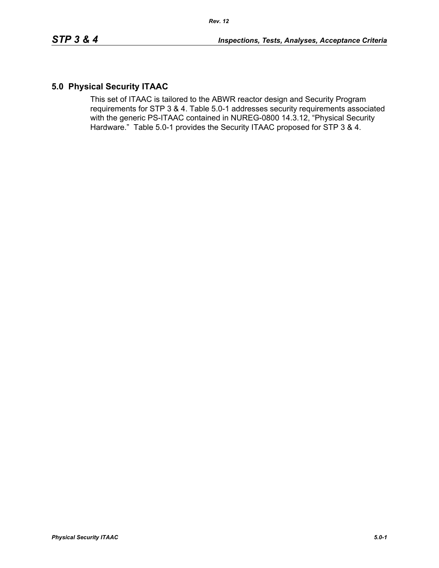# **5.0 Physical Security ITAAC**

This set of ITAAC is tailored to the ABWR reactor design and Security Program requirements for STP 3 & 4. Table 5.0-1 addresses security requirements associated with the generic PS-ITAAC contained in NUREG-0800 14.3.12, "Physical Security Hardware." Table 5.0-1 provides the Security ITAAC proposed for STP 3 & 4.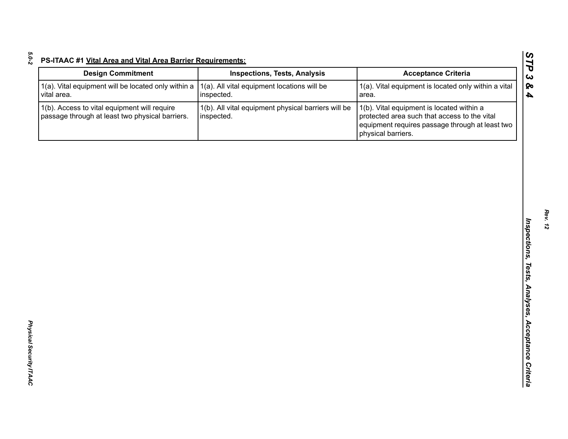| <b>Design Commitment</b>                                                                        | <b>Inspections, Tests, Analysis</b>                               | <b>Acceptance Criteria</b>                                                                                                                                         |
|-------------------------------------------------------------------------------------------------|-------------------------------------------------------------------|--------------------------------------------------------------------------------------------------------------------------------------------------------------------|
| 1(a). Vital equipment will be located only within a<br>vital area.                              | 1(a). All vital equipment locations will be<br>inspected.         | 1(a). Vital equipment is located only within a vital<br>area.                                                                                                      |
| 1(b). Access to vital equipment will require<br>passage through at least two physical barriers. | 1(b). All vital equipment physical barriers will be<br>inspected. | 1(b). Vital equipment is located within a<br>protected area such that access to the vital<br>equipment requires passage through at least two<br>physical barriers. |
|                                                                                                 |                                                                   |                                                                                                                                                                    |
|                                                                                                 |                                                                   |                                                                                                                                                                    |
|                                                                                                 |                                                                   |                                                                                                                                                                    |
|                                                                                                 |                                                                   |                                                                                                                                                                    |
|                                                                                                 |                                                                   |                                                                                                                                                                    |
|                                                                                                 |                                                                   |                                                                                                                                                                    |
|                                                                                                 |                                                                   |                                                                                                                                                                    |
|                                                                                                 |                                                                   |                                                                                                                                                                    |
|                                                                                                 |                                                                   |                                                                                                                                                                    |
|                                                                                                 |                                                                   |                                                                                                                                                                    |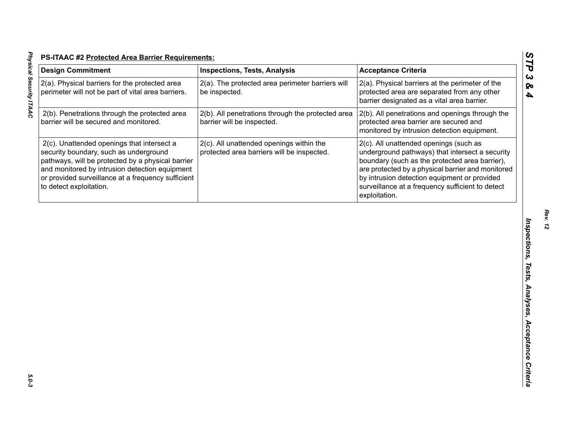| <b>Design Commitment</b>                                                                                                                                                                                                                                                     | <b>Inspections, Tests, Analysis</b>                                                    | <b>Acceptance Criteria</b>                                                                                                                                                                                                                                                                                            |
|------------------------------------------------------------------------------------------------------------------------------------------------------------------------------------------------------------------------------------------------------------------------------|----------------------------------------------------------------------------------------|-----------------------------------------------------------------------------------------------------------------------------------------------------------------------------------------------------------------------------------------------------------------------------------------------------------------------|
| 2(a). Physical barriers for the protected area<br>perimeter will not be part of vital area barriers.                                                                                                                                                                         | 2(a). The protected area perimeter barriers will<br>be inspected.                      | 2(a). Physical barriers at the perimeter of the<br>protected area are separated from any other<br>barrier designated as a vital area barrier.                                                                                                                                                                         |
| 2(b). Penetrations through the protected area<br>barrier will be secured and monitored.                                                                                                                                                                                      | 2(b). All penetrations through the protected area<br>barrier will be inspected.        | 2(b). All penetrations and openings through the<br>protected area barrier are secured and<br>monitored by intrusion detection equipment.                                                                                                                                                                              |
| 2(c). Unattended openings that intersect a<br>security boundary, such as underground<br>pathways, will be protected by a physical barrier<br>and monitored by intrusion detection equipment<br>or provided surveillance at a frequency sufficient<br>to detect exploitation. | 2(c). All unattended openings within the<br>protected area barriers will be inspected. | 2(c). All unattended openings (such as<br>underground pathways) that intersect a security<br>boundary (such as the protected area barrier),<br>are protected by a physical barrier and monitored<br>by intrusion detection equipment or provided<br>surveillance at a frequency sufficient to detect<br>exploitation. |
|                                                                                                                                                                                                                                                                              |                                                                                        |                                                                                                                                                                                                                                                                                                                       |
|                                                                                                                                                                                                                                                                              |                                                                                        |                                                                                                                                                                                                                                                                                                                       |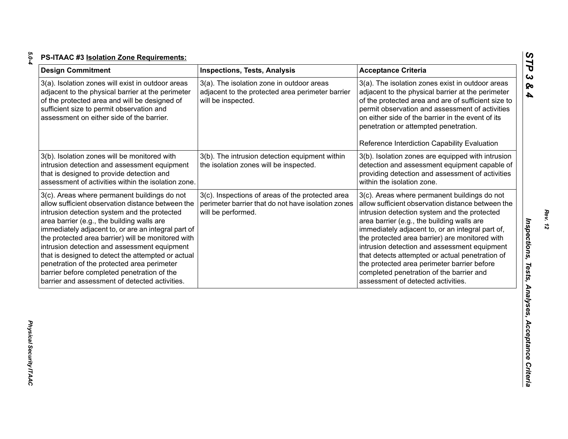| ×       |  |
|---------|--|
| ×<br>۰. |  |
|         |  |

| <b>Design Commitment</b>                                                                                                                                                                                                                                                                                                                                                                                                                                                                                                                                           | <b>Inspections, Tests, Analysis</b>                                                                                          | <b>Acceptance Criteria</b>                                                                                                                                                                                                                                                                                                                                                                                                                                                                                                                |
|--------------------------------------------------------------------------------------------------------------------------------------------------------------------------------------------------------------------------------------------------------------------------------------------------------------------------------------------------------------------------------------------------------------------------------------------------------------------------------------------------------------------------------------------------------------------|------------------------------------------------------------------------------------------------------------------------------|-------------------------------------------------------------------------------------------------------------------------------------------------------------------------------------------------------------------------------------------------------------------------------------------------------------------------------------------------------------------------------------------------------------------------------------------------------------------------------------------------------------------------------------------|
| 3(a). Isolation zones will exist in outdoor areas<br>adjacent to the physical barrier at the perimeter<br>of the protected area and will be designed of<br>sufficient size to permit observation and<br>assessment on either side of the barrier.                                                                                                                                                                                                                                                                                                                  | 3(a). The isolation zone in outdoor areas<br>adjacent to the protected area perimeter barrier<br>will be inspected.          | 3(a). The isolation zones exist in outdoor areas<br>adjacent to the physical barrier at the perimeter<br>of the protected area and are of sufficient size to<br>permit observation and assessment of activities<br>on either side of the barrier in the event of its<br>penetration or attempted penetration.                                                                                                                                                                                                                             |
|                                                                                                                                                                                                                                                                                                                                                                                                                                                                                                                                                                    |                                                                                                                              | Reference Interdiction Capability Evaluation                                                                                                                                                                                                                                                                                                                                                                                                                                                                                              |
| 3(b). Isolation zones will be monitored with<br>intrusion detection and assessment equipment<br>that is designed to provide detection and<br>assessment of activities within the isolation zone.                                                                                                                                                                                                                                                                                                                                                                   | 3(b). The intrusion detection equipment within<br>the isolation zones will be inspected.                                     | 3(b). Isolation zones are equipped with intrusion<br>detection and assessment equipment capable of<br>providing detection and assessment of activities<br>within the isolation zone.                                                                                                                                                                                                                                                                                                                                                      |
| 3(c). Areas where permanent buildings do not<br>allow sufficient observation distance between the<br>intrusion detection system and the protected<br>area barrier (e.g., the building walls are<br>immediately adjacent to, or are an integral part of<br>the protected area barrier) will be monitored with<br>intrusion detection and assessment equipment<br>that is designed to detect the attempted or actual<br>penetration of the protected area perimeter<br>barrier before completed penetration of the<br>barrier and assessment of detected activities. | 3(c). Inspections of areas of the protected area<br>perimeter barrier that do not have isolation zones<br>will be performed. | 3(c). Areas where permanent buildings do not<br>allow sufficient observation distance between the<br>intrusion detection system and the protected<br>area barrier (e.g., the building walls are<br>immediately adjacent to, or an integral part of,<br>the protected area barrier) are monitored with<br>intrusion detection and assessment equipment<br>that detects attempted or actual penetration of<br>the protected area perimeter barrier before<br>completed penetration of the barrier and<br>assessment of detected activities. |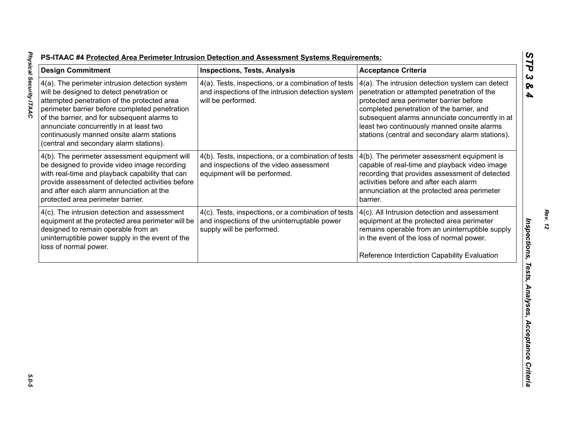| 4(a). The perimeter intrusion detection system<br>will be designed to detect penetration or                                                                                                                                                                                           |                                                                                                                                  | <b>Acceptance Criteria</b>                                                                                                                                                                                                                                                                                                                   |
|---------------------------------------------------------------------------------------------------------------------------------------------------------------------------------------------------------------------------------------------------------------------------------------|----------------------------------------------------------------------------------------------------------------------------------|----------------------------------------------------------------------------------------------------------------------------------------------------------------------------------------------------------------------------------------------------------------------------------------------------------------------------------------------|
| attempted penetration of the protected area<br>perimeter barrier before completed penetration<br>of the barrier, and for subsequent alarms to<br>annunciate concurrently in at least two<br>continuously manned onsite alarm stations<br>(central and secondary alarm stations).      | 4(a). Tests, inspections, or a combination of tests<br>and inspections of the intrusion detection system<br>will be performed.   | 4(a). The intrusion detection system can detect<br>penetration or attempted penetration of the<br>protected area perimeter barrier before<br>completed penetration of the barrier, and<br>subsequent alarms annunciate concurrently in at<br>least two continuously manned onsite alarms<br>stations (central and secondary alarm stations). |
| 4(b). The perimeter assessment equipment will<br>be designed to provide video image recording<br>with real-time and playback capability that can<br>provide assessment of detected activities before<br>and after each alarm annunciation at the<br>protected area perimeter barrier. | 4(b). Tests, inspections, or a combination of tests<br>and inspections of the video assessment<br>equipment will be performed.   | 4(b). The perimeter assessment equipment is<br>capable of real-time and playback video image<br>recording that provides assessment of detected<br>activities before and after each alarm<br>annunciation at the protected area perimeter<br>barrier.                                                                                         |
| 4(c). The intrusion detection and assessment<br>equipment at the protected area perimeter will be<br>designed to remain operable from an<br>uninterruptible power supply in the event of the<br>loss of normal power.                                                                 | 4(c). Tests, inspections, or a combination of tests<br>and inspections of the uninterruptable power<br>supply will be performed. | 4(c). All Intrusion detection and assessment<br>equipment at the protected area perimeter<br>remains operable from an uninterruptible supply<br>in the event of the loss of normal power.<br>Reference Interdiction Capability Evaluation                                                                                                    |

5.0-5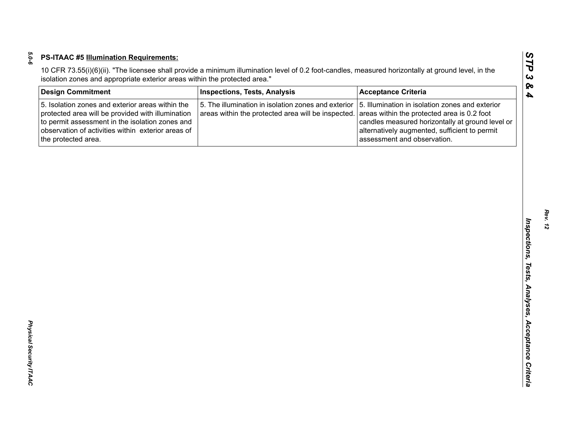| <b>Design Commitment</b>                                                                                                                                                                                                              | <b>Inspections, Tests, Analysis</b>                                                                       | <b>Acceptance Criteria</b>                                                                                                                                                                                                         |
|---------------------------------------------------------------------------------------------------------------------------------------------------------------------------------------------------------------------------------------|-----------------------------------------------------------------------------------------------------------|------------------------------------------------------------------------------------------------------------------------------------------------------------------------------------------------------------------------------------|
| 5. Isolation zones and exterior areas within the<br>protected area will be provided with illumination<br>to permit assessment in the isolation zones and<br>observation of activities within exterior areas of<br>the protected area. | 5. The illumination in isolation zones and exterior<br>areas within the protected area will be inspected. | 5. Illumination in isolation zones and exterior<br>areas within the protected area is 0.2 foot<br>candles measured horizontally at ground level or<br>alternatively augmented, sufficient to permit<br>assessment and observation. |
|                                                                                                                                                                                                                                       |                                                                                                           |                                                                                                                                                                                                                                    |
|                                                                                                                                                                                                                                       |                                                                                                           |                                                                                                                                                                                                                                    |
|                                                                                                                                                                                                                                       |                                                                                                           |                                                                                                                                                                                                                                    |
|                                                                                                                                                                                                                                       |                                                                                                           |                                                                                                                                                                                                                                    |
|                                                                                                                                                                                                                                       |                                                                                                           |                                                                                                                                                                                                                                    |
|                                                                                                                                                                                                                                       |                                                                                                           |                                                                                                                                                                                                                                    |
|                                                                                                                                                                                                                                       |                                                                                                           |                                                                                                                                                                                                                                    |
|                                                                                                                                                                                                                                       |                                                                                                           |                                                                                                                                                                                                                                    |
|                                                                                                                                                                                                                                       |                                                                                                           |                                                                                                                                                                                                                                    |
|                                                                                                                                                                                                                                       |                                                                                                           |                                                                                                                                                                                                                                    |
|                                                                                                                                                                                                                                       |                                                                                                           |                                                                                                                                                                                                                                    |
|                                                                                                                                                                                                                                       |                                                                                                           |                                                                                                                                                                                                                                    |
|                                                                                                                                                                                                                                       |                                                                                                           |                                                                                                                                                                                                                                    |
|                                                                                                                                                                                                                                       |                                                                                                           |                                                                                                                                                                                                                                    |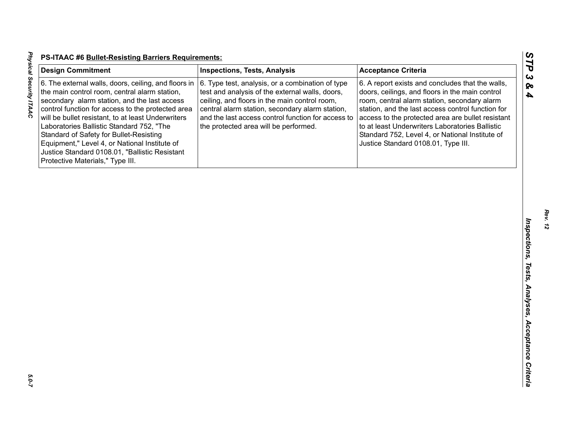| <b>Design Commitment</b>                                                                                                                                                                                                                                                                                                                                                                                                                                                                        | <b>Inspections, Tests, Analysis</b>                                                                                                                                                                                                                                                                    | <b>Acceptance Criteria</b>                                                                                                                                                                                                                                                                                                                                                                                 |
|-------------------------------------------------------------------------------------------------------------------------------------------------------------------------------------------------------------------------------------------------------------------------------------------------------------------------------------------------------------------------------------------------------------------------------------------------------------------------------------------------|--------------------------------------------------------------------------------------------------------------------------------------------------------------------------------------------------------------------------------------------------------------------------------------------------------|------------------------------------------------------------------------------------------------------------------------------------------------------------------------------------------------------------------------------------------------------------------------------------------------------------------------------------------------------------------------------------------------------------|
| 6. The external walls, doors, ceiling, and floors in<br>the main control room, central alarm station,<br>secondary alarm station, and the last access<br>control function for access to the protected area<br>will be bullet resistant, to at least Underwriters<br>Laboratories Ballistic Standard 752, "The<br>Standard of Safety for Bullet-Resisting<br>Equipment," Level 4, or National Institute of<br>Justice Standard 0108.01, "Ballistic Resistant<br>Protective Materials," Type III. | 6. Type test, analysis, or a combination of type<br>test and analysis of the external walls, doors,<br>ceiling, and floors in the main control room,<br>central alarm station, secondary alarm station,<br>and the last access control function for access to<br>the protected area will be performed. | 6. A report exists and concludes that the walls,<br>doors, ceilings, and floors in the main control<br>room, central alarm station, secondary alarm<br>station, and the last access control function for<br>access to the protected area are bullet resistant<br>to at least Underwriters Laboratories Ballistic<br>Standard 752, Level 4, or National Institute of<br>Justice Standard 0108.01, Type III. |
|                                                                                                                                                                                                                                                                                                                                                                                                                                                                                                 |                                                                                                                                                                                                                                                                                                        |                                                                                                                                                                                                                                                                                                                                                                                                            |
|                                                                                                                                                                                                                                                                                                                                                                                                                                                                                                 |                                                                                                                                                                                                                                                                                                        |                                                                                                                                                                                                                                                                                                                                                                                                            |
|                                                                                                                                                                                                                                                                                                                                                                                                                                                                                                 |                                                                                                                                                                                                                                                                                                        |                                                                                                                                                                                                                                                                                                                                                                                                            |
|                                                                                                                                                                                                                                                                                                                                                                                                                                                                                                 |                                                                                                                                                                                                                                                                                                        |                                                                                                                                                                                                                                                                                                                                                                                                            |
|                                                                                                                                                                                                                                                                                                                                                                                                                                                                                                 |                                                                                                                                                                                                                                                                                                        |                                                                                                                                                                                                                                                                                                                                                                                                            |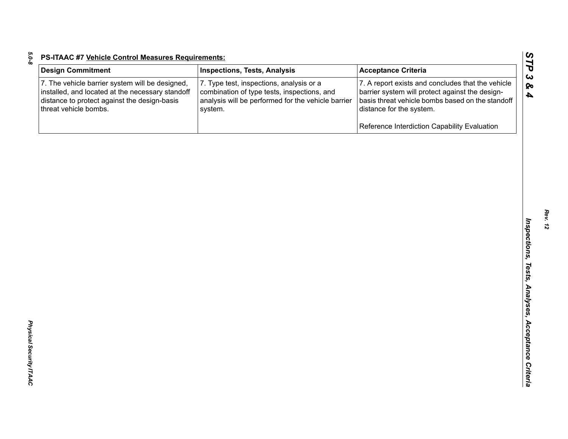| <b>Design Commitment</b>                                                                                                                                                     | <b>Inspections, Tests, Analysis</b>                                                                                                                      | <b>Acceptance Criteria</b>                                                                                                                                                           |
|------------------------------------------------------------------------------------------------------------------------------------------------------------------------------|----------------------------------------------------------------------------------------------------------------------------------------------------------|--------------------------------------------------------------------------------------------------------------------------------------------------------------------------------------|
| 7. The vehicle barrier system will be designed,<br>installed, and located at the necessary standoff<br>distance to protect against the design-basis<br>threat vehicle bombs. | 7. Type test, inspections, analysis or a<br>combination of type tests, inspections, and<br>analysis will be performed for the vehicle barrier<br>system. | 7. A report exists and concludes that the vehicle<br>barrier system will protect against the design-<br>basis threat vehicle bombs based on the standoff<br>distance for the system. |
|                                                                                                                                                                              |                                                                                                                                                          | Reference Interdiction Capability Evaluation                                                                                                                                         |
|                                                                                                                                                                              |                                                                                                                                                          |                                                                                                                                                                                      |
|                                                                                                                                                                              |                                                                                                                                                          |                                                                                                                                                                                      |
|                                                                                                                                                                              |                                                                                                                                                          |                                                                                                                                                                                      |
|                                                                                                                                                                              |                                                                                                                                                          |                                                                                                                                                                                      |
|                                                                                                                                                                              |                                                                                                                                                          |                                                                                                                                                                                      |
|                                                                                                                                                                              |                                                                                                                                                          |                                                                                                                                                                                      |
|                                                                                                                                                                              |                                                                                                                                                          |                                                                                                                                                                                      |
|                                                                                                                                                                              |                                                                                                                                                          |                                                                                                                                                                                      |
|                                                                                                                                                                              |                                                                                                                                                          |                                                                                                                                                                                      |
|                                                                                                                                                                              |                                                                                                                                                          |                                                                                                                                                                                      |
|                                                                                                                                                                              |                                                                                                                                                          |                                                                                                                                                                                      |
|                                                                                                                                                                              |                                                                                                                                                          |                                                                                                                                                                                      |
|                                                                                                                                                                              |                                                                                                                                                          |                                                                                                                                                                                      |

*Physical Security ITAAC* 

Physical Security ITAAC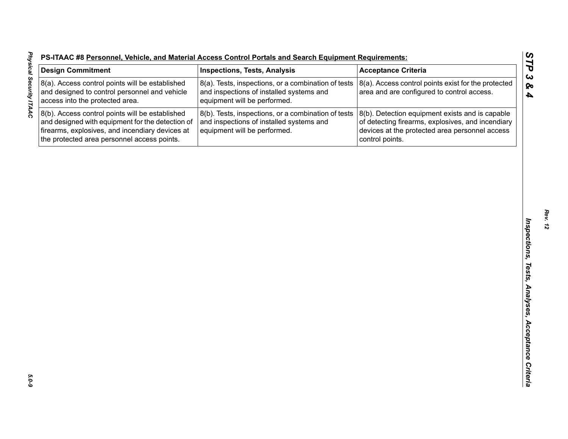| -S-ITAAC #8 Personnel, Vehicle, and Material Access Control Portals and Search Equipment Requirements: |  |  |  |
|--------------------------------------------------------------------------------------------------------|--|--|--|
|                                                                                                        |  |  |  |

| <b>Design Commitment</b>                                                                                                                                                                              | <b>Inspections, Tests, Analysis</b>                                                                                             | <b>Acceptance Criteria</b>                                                                                                                                                |
|-------------------------------------------------------------------------------------------------------------------------------------------------------------------------------------------------------|---------------------------------------------------------------------------------------------------------------------------------|---------------------------------------------------------------------------------------------------------------------------------------------------------------------------|
| 8(a). Access control points will be established<br>and designed to control personnel and vehicle<br>access into the protected area.                                                                   | 8(a). Tests, inspections, or a combination of tests<br>and inspections of installed systems and<br>equipment will be performed. | 8(a). Access control points exist for the protected<br>area and are configured to control access.                                                                         |
| 8(b). Access control points will be established<br>and designed with equipment for the detection of<br>firearms, explosives, and incendiary devices at<br>the protected area personnel access points. | 8(b). Tests, inspections, or a combination of tests<br>and inspections of installed systems and<br>equipment will be performed. | 8(b). Detection equipment exists and is capable<br>of detecting firearms, explosives, and incendiary<br>devices at the protected area personnel access<br>control points. |
|                                                                                                                                                                                                       |                                                                                                                                 |                                                                                                                                                                           |
|                                                                                                                                                                                                       |                                                                                                                                 |                                                                                                                                                                           |
|                                                                                                                                                                                                       |                                                                                                                                 |                                                                                                                                                                           |
|                                                                                                                                                                                                       |                                                                                                                                 |                                                                                                                                                                           |
|                                                                                                                                                                                                       |                                                                                                                                 |                                                                                                                                                                           |
|                                                                                                                                                                                                       |                                                                                                                                 |                                                                                                                                                                           |
|                                                                                                                                                                                                       |                                                                                                                                 |                                                                                                                                                                           |
|                                                                                                                                                                                                       |                                                                                                                                 |                                                                                                                                                                           |
|                                                                                                                                                                                                       |                                                                                                                                 |                                                                                                                                                                           |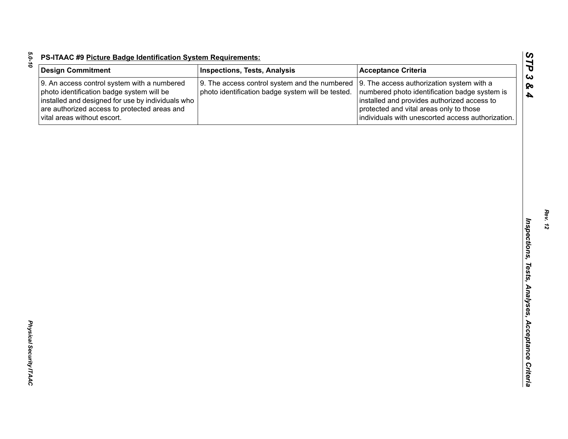| <b>Design Commitment</b>                                                                                                                                                                                                     | <b>Inspections, Tests, Analysis</b>                                                                | <b>Acceptance Criteria</b>                                                                                                                                                                                                                |
|------------------------------------------------------------------------------------------------------------------------------------------------------------------------------------------------------------------------------|----------------------------------------------------------------------------------------------------|-------------------------------------------------------------------------------------------------------------------------------------------------------------------------------------------------------------------------------------------|
| 9. An access control system with a numbered<br>photo identification badge system will be<br>installed and designed for use by individuals who<br>are authorized access to protected areas and<br>vital areas without escort. | 9. The access control system and the numbered<br>photo identification badge system will be tested. | 9. The access authorization system with a<br>numbered photo identification badge system is<br>installed and provides authorized access to<br>protected and vital areas only to those<br>individuals with unescorted access authorization. |
|                                                                                                                                                                                                                              |                                                                                                    |                                                                                                                                                                                                                                           |
|                                                                                                                                                                                                                              |                                                                                                    |                                                                                                                                                                                                                                           |
|                                                                                                                                                                                                                              |                                                                                                    |                                                                                                                                                                                                                                           |
|                                                                                                                                                                                                                              |                                                                                                    |                                                                                                                                                                                                                                           |
|                                                                                                                                                                                                                              |                                                                                                    |                                                                                                                                                                                                                                           |
|                                                                                                                                                                                                                              |                                                                                                    |                                                                                                                                                                                                                                           |
|                                                                                                                                                                                                                              |                                                                                                    |                                                                                                                                                                                                                                           |
|                                                                                                                                                                                                                              |                                                                                                    |                                                                                                                                                                                                                                           |
|                                                                                                                                                                                                                              |                                                                                                    |                                                                                                                                                                                                                                           |
|                                                                                                                                                                                                                              |                                                                                                    |                                                                                                                                                                                                                                           |
|                                                                                                                                                                                                                              |                                                                                                    |                                                                                                                                                                                                                                           |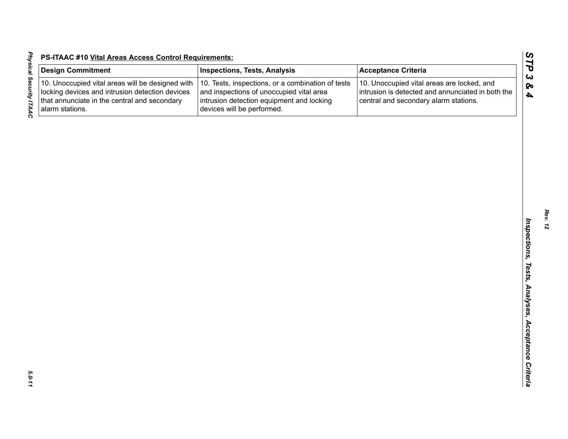| <b>Physical Security ITAAC</b> | I<br>$\begin{array}{c} \n 1 \\ \hline\n 1 \\ \hline\n 0\n \end{array}$<br>$\overline{\phantom{a}}$ |
|--------------------------------|----------------------------------------------------------------------------------------------------|
|                                |                                                                                                    |
|                                |                                                                                                    |
| 5.0-11                         |                                                                                                    |

| <b>Design Commitment</b>                                                                                                                                               | <b>Inspections, Tests, Analysis</b>                                                                                                                                      | <b>Acceptance Criteria</b>                                                                                                               |
|------------------------------------------------------------------------------------------------------------------------------------------------------------------------|--------------------------------------------------------------------------------------------------------------------------------------------------------------------------|------------------------------------------------------------------------------------------------------------------------------------------|
| 10. Unoccupied vital areas will be designed with<br>locking devices and intrusion detection devices<br>that annunciate in the central and secondary<br>alarm stations. | 10. Tests, inspections, or a combination of tests<br>and inspections of unoccupied vital area<br>intrusion detection equipment and locking<br>devices will be performed. | 10. Unoccupied vital areas are locked, and<br>intrusion is detected and annunciated in both the<br>central and secondary alarm stations. |
|                                                                                                                                                                        |                                                                                                                                                                          |                                                                                                                                          |
|                                                                                                                                                                        |                                                                                                                                                                          |                                                                                                                                          |
|                                                                                                                                                                        |                                                                                                                                                                          |                                                                                                                                          |
|                                                                                                                                                                        |                                                                                                                                                                          |                                                                                                                                          |
|                                                                                                                                                                        |                                                                                                                                                                          |                                                                                                                                          |
|                                                                                                                                                                        |                                                                                                                                                                          |                                                                                                                                          |
|                                                                                                                                                                        |                                                                                                                                                                          |                                                                                                                                          |
|                                                                                                                                                                        |                                                                                                                                                                          |                                                                                                                                          |
|                                                                                                                                                                        |                                                                                                                                                                          |                                                                                                                                          |
|                                                                                                                                                                        |                                                                                                                                                                          |                                                                                                                                          |
|                                                                                                                                                                        |                                                                                                                                                                          |                                                                                                                                          |
|                                                                                                                                                                        |                                                                                                                                                                          |                                                                                                                                          |
|                                                                                                                                                                        |                                                                                                                                                                          |                                                                                                                                          |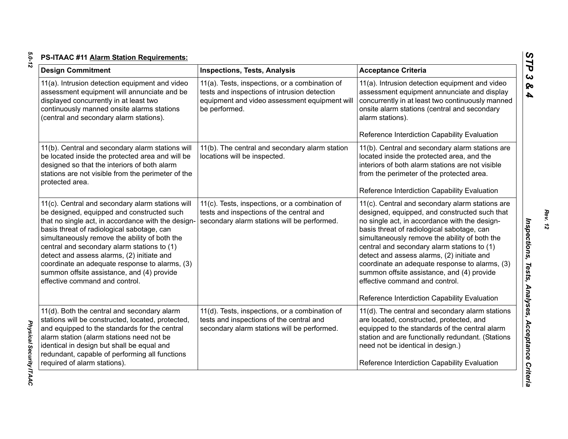| <b>Design Commitment</b>                                                                                                                                                                                                                                                                                                                                                                                                                                                           | <b>Inspections, Tests, Analysis</b>                                                                                                                              | <b>Acceptance Criteria</b>                                                                                                                                                                                                                                                                                                                                                                                                                                                                                                      |
|------------------------------------------------------------------------------------------------------------------------------------------------------------------------------------------------------------------------------------------------------------------------------------------------------------------------------------------------------------------------------------------------------------------------------------------------------------------------------------|------------------------------------------------------------------------------------------------------------------------------------------------------------------|---------------------------------------------------------------------------------------------------------------------------------------------------------------------------------------------------------------------------------------------------------------------------------------------------------------------------------------------------------------------------------------------------------------------------------------------------------------------------------------------------------------------------------|
| 11(a). Intrusion detection equipment and video<br>assessment equipment will annunciate and be<br>displayed concurrently in at least two<br>continuously manned onsite alarms stations<br>(central and secondary alarm stations).                                                                                                                                                                                                                                                   | 11(a). Tests, inspections, or a combination of<br>tests and inspections of intrusion detection<br>equipment and video assessment equipment will<br>be performed. | 11(a). Intrusion detection equipment and video<br>assessment equipment annunciate and display<br>concurrently in at least two continuously manned<br>onsite alarm stations (central and secondary<br>alarm stations).<br>Reference Interdiction Capability Evaluation                                                                                                                                                                                                                                                           |
| 11(b). Central and secondary alarm stations will<br>be located inside the protected area and will be<br>designed so that the interiors of both alarm<br>stations are not visible from the perimeter of the<br>protected area.                                                                                                                                                                                                                                                      | 11(b). The central and secondary alarm station<br>locations will be inspected.                                                                                   | 11(b). Central and secondary alarm stations are<br>located inside the protected area, and the<br>interiors of both alarm stations are not visible<br>from the perimeter of the protected area.<br>Reference Interdiction Capability Evaluation                                                                                                                                                                                                                                                                                  |
| 11(c). Central and secondary alarm stations will<br>be designed, equipped and constructed such<br>that no single act, in accordance with the design-<br>basis threat of radiological sabotage, can<br>simultaneously remove the ability of both the<br>central and secondary alarm stations to (1)<br>detect and assess alarms, (2) initiate and<br>coordinate an adequate response to alarms, (3)<br>summon offsite assistance, and (4) provide<br>effective command and control. | 11(c). Tests, inspections, or a combination of<br>tests and inspections of the central and<br>secondary alarm stations will be performed.                        | 11(c). Central and secondary alarm stations are<br>designed, equipped, and constructed such that<br>no single act, in accordance with the design-<br>basis threat of radiological sabotage, can<br>simultaneously remove the ability of both the<br>central and secondary alarm stations to (1)<br>detect and assess alarms, (2) initiate and<br>coordinate an adequate response to alarms, (3)<br>summon offsite assistance, and (4) provide<br>effective command and control.<br>Reference Interdiction Capability Evaluation |
| 11(d). Both the central and secondary alarm<br>stations will be constructed, located, protected,<br>and equipped to the standards for the central<br>alarm station (alarm stations need not be<br>identical in design but shall be equal and<br>redundant, capable of performing all functions<br>required of alarm stations).                                                                                                                                                     | 11(d). Tests, inspections, or a combination of<br>tests and inspections of the central and<br>secondary alarm stations will be performed.                        | 11(d). The central and secondary alarm stations<br>are located, constructed, protected, and<br>equipped to the standards of the central alarm<br>station and are functionally redundant. (Stations<br>need not be identical in design.)<br>Reference Interdiction Capability Evaluation                                                                                                                                                                                                                                         |

*Rev. 12*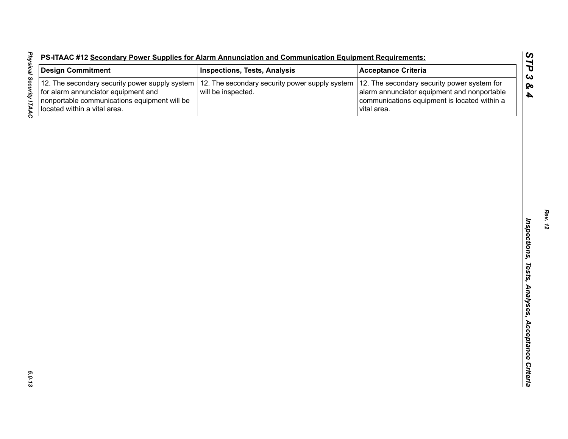| S-ITAAC #12 Secondary Power Supplies for Alarm Annunciation and Communication Equipment Requirements: |  |  |  |  |  |  |
|-------------------------------------------------------------------------------------------------------|--|--|--|--|--|--|
|                                                                                                       |  |  |  |  |  |  |

| <b>Design Commitment</b>                                                                                                                                              | <b>Inspections, Tests, Analysis</b>                                  | <b>Acceptance Criteria</b>                                                                                                                                |
|-----------------------------------------------------------------------------------------------------------------------------------------------------------------------|----------------------------------------------------------------------|-----------------------------------------------------------------------------------------------------------------------------------------------------------|
| 12. The secondary security power supply system<br>for alarm annunciator equipment and<br>nonportable communications equipment will be<br>located within a vital area. | 12. The secondary security power supply system<br>will be inspected. | 12. The secondary security power system for<br>alarm annunciator equipment and nonportable<br>communications equipment is located within a<br>vital area. |
|                                                                                                                                                                       |                                                                      |                                                                                                                                                           |
|                                                                                                                                                                       |                                                                      |                                                                                                                                                           |
|                                                                                                                                                                       |                                                                      |                                                                                                                                                           |
|                                                                                                                                                                       |                                                                      |                                                                                                                                                           |
|                                                                                                                                                                       |                                                                      |                                                                                                                                                           |
|                                                                                                                                                                       |                                                                      |                                                                                                                                                           |
|                                                                                                                                                                       |                                                                      |                                                                                                                                                           |
|                                                                                                                                                                       |                                                                      |                                                                                                                                                           |
|                                                                                                                                                                       |                                                                      |                                                                                                                                                           |
|                                                                                                                                                                       |                                                                      |                                                                                                                                                           |
|                                                                                                                                                                       |                                                                      |                                                                                                                                                           |
|                                                                                                                                                                       |                                                                      |                                                                                                                                                           |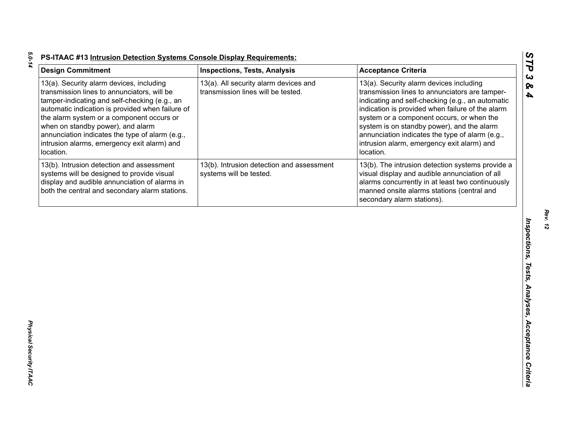| <b>Design Commitment</b>                                                                                                                                                                                                                                                                                                                                                                      | <b>Inspections, Tests, Analysis</b>                                         | <b>Acceptance Criteria</b>                                                                                                                                                                                                                                                                                                                                                                                 |
|-----------------------------------------------------------------------------------------------------------------------------------------------------------------------------------------------------------------------------------------------------------------------------------------------------------------------------------------------------------------------------------------------|-----------------------------------------------------------------------------|------------------------------------------------------------------------------------------------------------------------------------------------------------------------------------------------------------------------------------------------------------------------------------------------------------------------------------------------------------------------------------------------------------|
| 13(a). Security alarm devices, including<br>transmission lines to annunciators, will be<br>tamper-indicating and self-checking (e.g., an<br>automatic indication is provided when failure of<br>the alarm system or a component occurs or<br>when on standby power), and alarm<br>annunciation indicates the type of alarm (e.g.,<br>intrusion alarms, emergency exit alarm) and<br>location. | 13(a). All security alarm devices and<br>transmission lines will be tested. | 13(a). Security alarm devices including<br>transmission lines to annunciators are tamper-<br>indicating and self-checking (e.g., an automatic<br>indication is provided when failure of the alarm<br>system or a component occurs, or when the<br>system is on standby power), and the alarm<br>annunciation indicates the type of alarm (e.g.,<br>intrusion alarm, emergency exit alarm) and<br>location. |
| 13(b). Intrusion detection and assessment<br>systems will be designed to provide visual<br>display and audible annunciation of alarms in<br>both the central and secondary alarm stations.                                                                                                                                                                                                    | 13(b). Intrusion detection and assessment<br>systems will be tested.        | 13(b). The intrusion detection systems provide a<br>visual display and audible annunciation of all<br>alarms concurrently in at least two continuously<br>manned onsite alarms stations (central and<br>secondary alarm stations).                                                                                                                                                                         |
|                                                                                                                                                                                                                                                                                                                                                                                               |                                                                             |                                                                                                                                                                                                                                                                                                                                                                                                            |
|                                                                                                                                                                                                                                                                                                                                                                                               |                                                                             |                                                                                                                                                                                                                                                                                                                                                                                                            |
|                                                                                                                                                                                                                                                                                                                                                                                               |                                                                             |                                                                                                                                                                                                                                                                                                                                                                                                            |
|                                                                                                                                                                                                                                                                                                                                                                                               |                                                                             |                                                                                                                                                                                                                                                                                                                                                                                                            |
|                                                                                                                                                                                                                                                                                                                                                                                               |                                                                             |                                                                                                                                                                                                                                                                                                                                                                                                            |

*Rev. 12*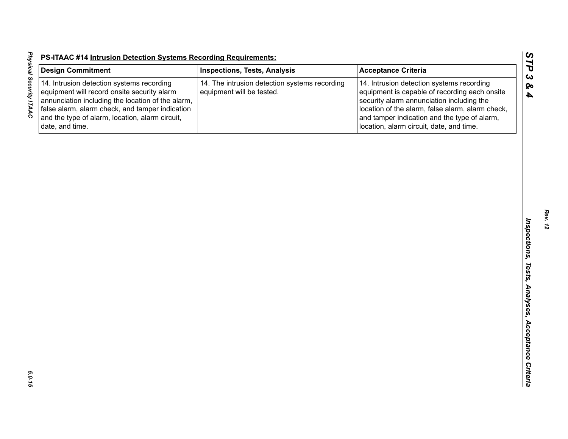| <b>Design Commitment</b>                                                                                                                                                                                                                                               | <b>Inspections, Tests, Analysis</b>                                        | <b>Acceptance Criteria</b>                                                                                                                                                                                                                                                              |
|------------------------------------------------------------------------------------------------------------------------------------------------------------------------------------------------------------------------------------------------------------------------|----------------------------------------------------------------------------|-----------------------------------------------------------------------------------------------------------------------------------------------------------------------------------------------------------------------------------------------------------------------------------------|
| 14. Intrusion detection systems recording<br>equipment will record onsite security alarm<br>annunciation including the location of the alarm,<br>false alarm, alarm check, and tamper indication<br>and the type of alarm, location, alarm circuit,<br>date, and time. | 14. The intrusion detection systems recording<br>equipment will be tested. | 14. Intrusion detection systems recording<br>equipment is capable of recording each onsite<br>security alarm annunciation including the<br>location of the alarm, false alarm, alarm check,<br>and tamper indication and the type of alarm,<br>location, alarm circuit, date, and time. |
|                                                                                                                                                                                                                                                                        |                                                                            |                                                                                                                                                                                                                                                                                         |
|                                                                                                                                                                                                                                                                        |                                                                            |                                                                                                                                                                                                                                                                                         |
|                                                                                                                                                                                                                                                                        |                                                                            |                                                                                                                                                                                                                                                                                         |
|                                                                                                                                                                                                                                                                        |                                                                            |                                                                                                                                                                                                                                                                                         |
|                                                                                                                                                                                                                                                                        |                                                                            |                                                                                                                                                                                                                                                                                         |
|                                                                                                                                                                                                                                                                        |                                                                            |                                                                                                                                                                                                                                                                                         |
|                                                                                                                                                                                                                                                                        |                                                                            |                                                                                                                                                                                                                                                                                         |
|                                                                                                                                                                                                                                                                        |                                                                            |                                                                                                                                                                                                                                                                                         |
|                                                                                                                                                                                                                                                                        |                                                                            |                                                                                                                                                                                                                                                                                         |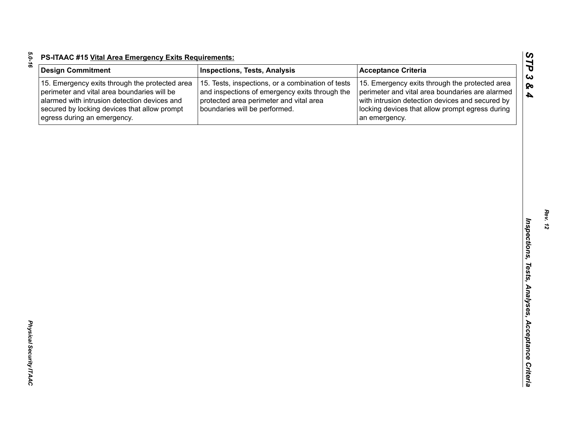| t, |
|----|
|    |
|    |
|    |
| ٦  |
|    |

| <b>Design Commitment</b>                                                                                                                                                                                                     | <b>Inspections, Tests, Analysis</b>                                                                                                                                             | <b>Acceptance Criteria</b>                                                                                                                                                                                               |
|------------------------------------------------------------------------------------------------------------------------------------------------------------------------------------------------------------------------------|---------------------------------------------------------------------------------------------------------------------------------------------------------------------------------|--------------------------------------------------------------------------------------------------------------------------------------------------------------------------------------------------------------------------|
| 15. Emergency exits through the protected area<br>perimeter and vital area boundaries will be<br>alarmed with intrusion detection devices and<br>secured by locking devices that allow prompt<br>egress during an emergency. | 15. Tests, inspections, or a combination of tests<br>and inspections of emergency exits through the<br>protected area perimeter and vital area<br>boundaries will be performed. | 15. Emergency exits through the protected area<br>perimeter and vital area boundaries are alarmed<br>with intrusion detection devices and secured by<br>locking devices that allow prompt egress during<br>an emergency. |
|                                                                                                                                                                                                                              |                                                                                                                                                                                 |                                                                                                                                                                                                                          |
|                                                                                                                                                                                                                              |                                                                                                                                                                                 |                                                                                                                                                                                                                          |
|                                                                                                                                                                                                                              |                                                                                                                                                                                 |                                                                                                                                                                                                                          |
|                                                                                                                                                                                                                              |                                                                                                                                                                                 |                                                                                                                                                                                                                          |
|                                                                                                                                                                                                                              |                                                                                                                                                                                 |                                                                                                                                                                                                                          |
|                                                                                                                                                                                                                              |                                                                                                                                                                                 |                                                                                                                                                                                                                          |
|                                                                                                                                                                                                                              |                                                                                                                                                                                 |                                                                                                                                                                                                                          |
|                                                                                                                                                                                                                              |                                                                                                                                                                                 |                                                                                                                                                                                                                          |
|                                                                                                                                                                                                                              |                                                                                                                                                                                 |                                                                                                                                                                                                                          |
|                                                                                                                                                                                                                              |                                                                                                                                                                                 |                                                                                                                                                                                                                          |
|                                                                                                                                                                                                                              |                                                                                                                                                                                 |                                                                                                                                                                                                                          |
|                                                                                                                                                                                                                              |                                                                                                                                                                                 |                                                                                                                                                                                                                          |
|                                                                                                                                                                                                                              |                                                                                                                                                                                 |                                                                                                                                                                                                                          |